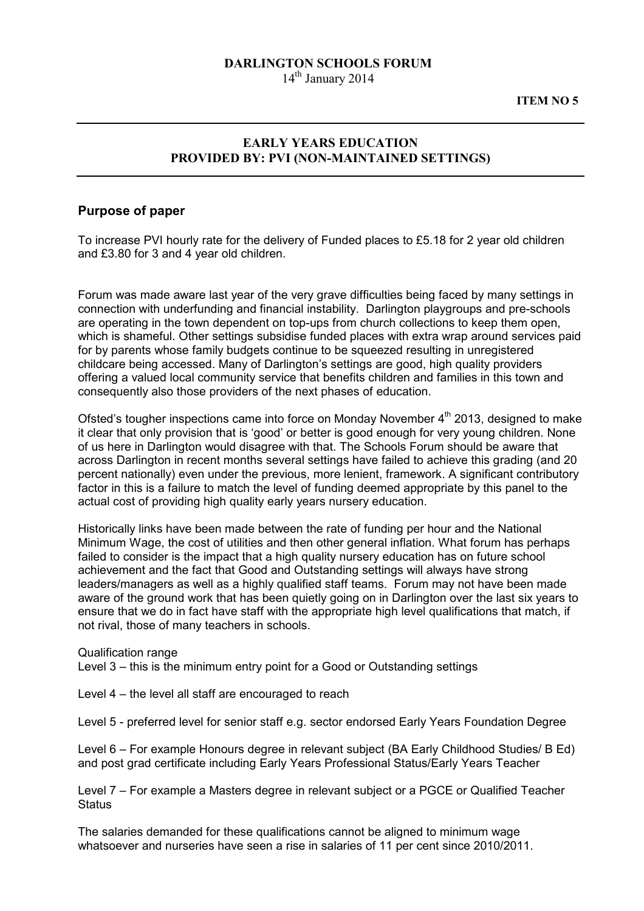## DARLINGTON SCHOOLS FORUM

14<sup>th</sup> January 2014

ITEM NO 5

## EARLY YEARS EDUCATION PROVIDED BY: PVI (NON-MAINTAINED SETTINGS)

## Purpose of paper

To increase PVI hourly rate for the delivery of Funded places to £5.18 for 2 year old children and £3.80 for 3 and 4 year old children.

Forum was made aware last year of the very grave difficulties being faced by many settings in connection with underfunding and financial instability. Darlington playgroups and pre-schools are operating in the town dependent on top-ups from church collections to keep them open, which is shameful. Other settings subsidise funded places with extra wrap around services paid for by parents whose family budgets continue to be squeezed resulting in unregistered childcare being accessed. Many of Darlington's settings are good, high quality providers offering a valued local community service that benefits children and families in this town and consequently also those providers of the next phases of education.

Ofsted's tougher inspections came into force on Monday November  $4<sup>th</sup>$  2013, designed to make it clear that only provision that is 'good' or better is good enough for very young children. None of us here in Darlington would disagree with that. The Schools Forum should be aware that across Darlington in recent months several settings have failed to achieve this grading (and 20 percent nationally) even under the previous, more lenient, framework. A significant contributory factor in this is a failure to match the level of funding deemed appropriate by this panel to the actual cost of providing high quality early years nursery education.

Historically links have been made between the rate of funding per hour and the National Minimum Wage, the cost of utilities and then other general inflation. What forum has perhaps failed to consider is the impact that a high quality nursery education has on future school achievement and the fact that Good and Outstanding settings will always have strong leaders/managers as well as a highly qualified staff teams. Forum may not have been made aware of the ground work that has been quietly going on in Darlington over the last six years to ensure that we do in fact have staff with the appropriate high level qualifications that match, if not rival, those of many teachers in schools.

Qualification range

Level 3 – this is the minimum entry point for a Good or Outstanding settings

Level 4 – the level all staff are encouraged to reach

Level 5 - preferred level for senior staff e.g. sector endorsed Early Years Foundation Degree

Level 6 – For example Honours degree in relevant subject (BA Early Childhood Studies/ B Ed) and post grad certificate including Early Years Professional Status/Early Years Teacher

Level 7 – For example a Masters degree in relevant subject or a PGCE or Qualified Teacher **Status** 

The salaries demanded for these qualifications cannot be aligned to minimum wage whatsoever and nurseries have seen a rise in salaries of 11 per cent since 2010/2011.